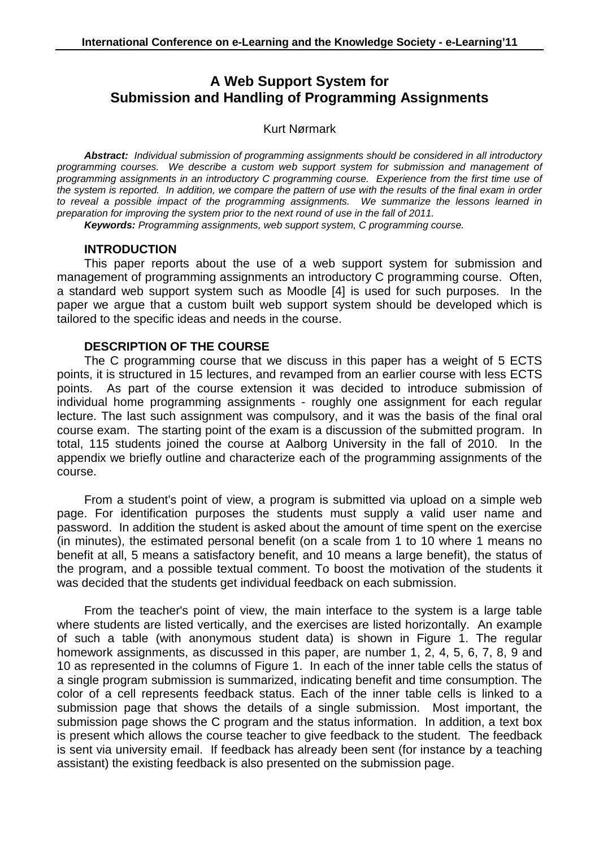# **A Web Support System for Submission and Handling of Programming Assignments**

#### Kurt Nørmark

**Abstract:** Individual submission of programming assignments should be considered in all introductory programming courses. We describe a custom web support system for submission and management of programming assignments in an introductory C programming course. Experience from the first time use of the system is reported. In addition, we compare the pattern of use with the results of the final exam in order to reveal a possible impact of the programming assignments. We summarize the lessons learned in preparation for improving the system prior to the next round of use in the fall of 2011.

**Keywords:** Programming assignments, web support system, C programming course.

#### **INTRODUCTION**

This paper reports about the use of a web support system for submission and management of programming assignments an introductory C programming course. Often, a standard web support system such as Moodle [4] is used for such purposes. In the paper we argue that a custom built web support system should be developed which is tailored to the specific ideas and needs in the course.

#### **DESCRIPTION OF THE COURSE**

The C programming course that we discuss in this paper has a weight of 5 ECTS points, it is structured in 15 lectures, and revamped from an earlier course with less ECTS points. As part of the course extension it was decided to introduce submission of individual home programming assignments - roughly one assignment for each regular lecture. The last such assignment was compulsory, and it was the basis of the final oral course exam. The starting point of the exam is a discussion of the submitted program. In total, 115 students joined the course at Aalborg University in the fall of 2010. In the appendix we briefly outline and characterize each of the programming assignments of the course.

From a student's point of view, a program is submitted via upload on a simple web page. For identification purposes the students must supply a valid user name and password. In addition the student is asked about the amount of time spent on the exercise (in minutes), the estimated personal benefit (on a scale from 1 to 10 where 1 means no benefit at all, 5 means a satisfactory benefit, and 10 means a large benefit), the status of the program, and a possible textual comment. To boost the motivation of the students it was decided that the students get individual feedback on each submission.

From the teacher's point of view, the main interface to the system is a large table where students are listed vertically, and the exercises are listed horizontally. An example of such a table (with anonymous student data) is shown in Figure 1. The regular homework assignments, as discussed in this paper, are number 1, 2, 4, 5, 6, 7, 8, 9 and 10 as represented in the columns of Figure 1. In each of the inner table cells the status of a single program submission is summarized, indicating benefit and time consumption. The color of a cell represents feedback status. Each of the inner table cells is linked to a submission page that shows the details of a single submission. Most important, the submission page shows the C program and the status information. In addition, a text box is present which allows the course teacher to give feedback to the student. The feedback is sent via university email. If feedback has already been sent (for instance by a teaching assistant) the existing feedback is also presented on the submission page.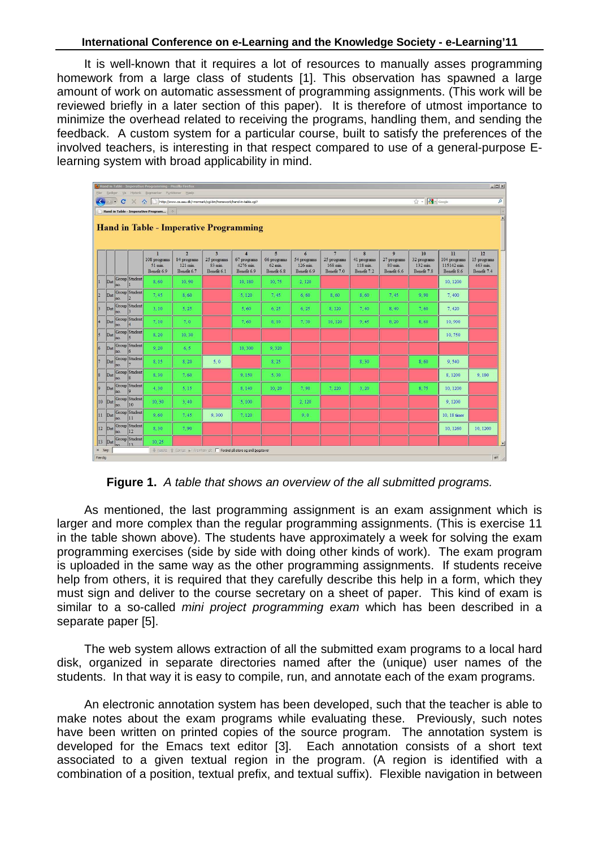It is well-known that it requires a lot of resources to manually asses programming homework from a large class of students [1]. This observation has spawned a large amount of work on automatic assessment of programming assignments. (This work will be reviewed briefly in a later section of this paper). It is therefore of utmost importance to minimize the overhead related to receiving the programs, handling them, and sending the feedback. A custom system for a particular course, built to satisfy the preferences of the involved teachers, is interesting in that respect compared to use of a general-purpose Elearning system with broad applicability in mind.

| $  D $ $\times$<br>Hand in Table - Imperative Programming - Mozilla Firefox<br><b>Eler</b><br>Rediger Vis Historik Bogmaerker Funktioner Hiselp                         |                                                                   |     |                      |                                             |                                                          |                                                                       |                                                           |                                                                  |                                             |                                                          |                                                    |                                                                  |                                              |                                                  |                                              |                |
|-------------------------------------------------------------------------------------------------------------------------------------------------------------------------|-------------------------------------------------------------------|-----|----------------------|---------------------------------------------|----------------------------------------------------------|-----------------------------------------------------------------------|-----------------------------------------------------------|------------------------------------------------------------------|---------------------------------------------|----------------------------------------------------------|----------------------------------------------------|------------------------------------------------------------------|----------------------------------------------|--------------------------------------------------|----------------------------------------------|----------------|
| ☆ · 图 - Google<br>$\leftarrow$<br>http://www.cs.aau.dk/~normark/cgl-bin/homework/hand-in-table.cgl?<br>$\mathbf{C}$<br>$\hat{\mathbf{a}}$<br>$\times$<br>$\sim$ $\star$ |                                                                   |     |                      |                                             |                                                          |                                                                       |                                                           |                                                                  |                                             |                                                          |                                                    | $\overline{\mathsf{a}}$                                          |                                              |                                                  |                                              |                |
|                                                                                                                                                                         | $\mathcal{A}_{\mathcal{C}}$<br>Hand in Table - Imperative Program |     |                      |                                             |                                                          |                                                                       |                                                           |                                                                  |                                             |                                                          |                                                    |                                                                  |                                              |                                                  |                                              |                |
| $\hat{=}$<br><b>Hand in Table - Imperative Programming</b>                                                                                                              |                                                                   |     |                      |                                             |                                                          |                                                                       |                                                           |                                                                  |                                             |                                                          |                                                    |                                                                  |                                              |                                                  |                                              |                |
|                                                                                                                                                                         |                                                                   |     |                      | n<br>108 programs<br>51 min.<br>Benefit 6.9 | $\overline{2}$<br>84 programs<br>121 min.<br>Benefit 6.7 | $\overline{\mathbf{3}}$<br>25 programs<br>83 min.<br>Benefit 6.1      | $\overline{A}$<br>67 programs<br>4276 min.<br>Benefit 6.9 | 5 <sup>5</sup><br>66 programs<br>$62 \text{ min}$<br>Benefit 6.8 | 6<br>54 programs<br>126 min.<br>Benefit 6.9 | $\overline{7}$<br>25 programs<br>168 min.<br>Benefit 7.0 | $\bf{8}$<br>41 programs<br>118 min.<br>Benefit 7.2 | $\overline{9}$<br>27 programs<br>$80 \text{ min}$<br>Benefit 6.6 | 10<br>32 programs<br>132 min.<br>Benefit 7.8 | 11<br>104 programs<br>115142 min.<br>Benefit 8.6 | 12<br>15 programs<br>463 min.<br>Benefit 7.4 |                |
|                                                                                                                                                                         | Dat                                                               | no. | Group Student        | 8,60                                        | 10,90                                                    |                                                                       | 10,180                                                    | 10.75                                                            | 2,120                                       |                                                          |                                                    |                                                                  |                                              | 10, 1200                                         |                                              |                |
| 2                                                                                                                                                                       | Dat                                                               | no. | Group Student        | 7.45                                        | 8,60                                                     |                                                                       | 5.120                                                     | 7.45                                                             | 6, 60                                       | 8.60                                                     | 8.60                                               | 7.45                                                             | 9.90                                         | 7,400                                            |                                              |                |
| $\vert$ 3                                                                                                                                                               | Dat                                                               | no. | Group Student        | 3.10                                        | 5, 25                                                    |                                                                       | 5.60                                                      | 6, 25                                                            | 6, 25                                       | 8.120                                                    | 7,40                                               | 8,40                                                             | 7,60                                         | 7,420                                            |                                              |                |
| 4                                                                                                                                                                       | Dat                                                               | no. | Group Student        | 7, 10                                       | 7,0                                                      |                                                                       | 7,60                                                      | 8.10                                                             | 7,30                                        | 10.120                                                   | 9,45                                               | 8, 20                                                            | 8.60                                         | 10,900                                           |                                              |                |
| l5                                                                                                                                                                      | Dat                                                               | no. | Group Student        | 8.20                                        | 10.30                                                    |                                                                       |                                                           |                                                                  |                                             |                                                          |                                                    |                                                                  |                                              | 10,750                                           |                                              |                |
| 6                                                                                                                                                                       | Dat                                                               | no. | Group Student<br>l6  | 9.20                                        | 6.5                                                      |                                                                       | 10.300                                                    | 9.320                                                            |                                             |                                                          |                                                    |                                                                  |                                              |                                                  |                                              |                |
|                                                                                                                                                                         | Dat                                                               | no. | Group Student        | 8, 15                                       | 8, 20                                                    | 5,0                                                                   |                                                           | 8, 25                                                            |                                             |                                                          | 8,30                                               |                                                                  | 8.60                                         | 9.540                                            |                                              |                |
| 8                                                                                                                                                                       | Dat                                                               | no. | Group Student<br> 8  | 8.30                                        | 7.60                                                     |                                                                       | 9,150                                                     | 5,30                                                             |                                             |                                                          |                                                    |                                                                  |                                              | 8.1200                                           | 9.180                                        |                |
| 9                                                                                                                                                                       | Dat                                                               | no. | Group Student<br> 9  | 4 30                                        | 5.15                                                     |                                                                       | 8,140                                                     | 10.20                                                            | 7.90                                        | 7,220                                                    | 3, 20                                              |                                                                  | 8.75                                         | 10, 1200                                         |                                              |                |
|                                                                                                                                                                         | 10 Dat                                                            | no. | Group Student<br>10  | 10.30                                       | 3.40                                                     |                                                                       | 5.100                                                     |                                                                  | 2,120                                       |                                                          |                                                    |                                                                  |                                              | 9.1200                                           |                                              |                |
|                                                                                                                                                                         | $ 11 $ Dat                                                        | no. | Group Student<br> 11 | 9.60                                        | 7,45                                                     | 9.300                                                                 | 7.120                                                     |                                                                  | 9,0                                         |                                                          |                                                    |                                                                  |                                              | 10, 18 timer                                     |                                              |                |
|                                                                                                                                                                         | $12$ Dat                                                          | no. | Group Student<br> 12 | 8.30                                        | 7.90                                                     |                                                                       |                                                           |                                                                  |                                             |                                                          |                                                    |                                                                  |                                              | 10, 1260                                         | 10, 1200                                     |                |
|                                                                                                                                                                         | $13$ Dat                                                          |     | Group Student        | 10.25                                       |                                                          |                                                                       |                                                           |                                                                  |                                             |                                                          |                                                    |                                                                  |                                              |                                                  |                                              | $\blacksquare$ |
| $\times$ Søg:                                                                                                                                                           |                                                                   |     |                      |                                             |                                                          | Nasste di Forrige M Fremhaev alt F Forskel på store og små bogstaver. |                                                           |                                                                  |                                             |                                                          |                                                    |                                                                  |                                              |                                                  | $\mathcal{R}$                                |                |
| Færdig                                                                                                                                                                  |                                                                   |     |                      |                                             |                                                          |                                                                       |                                                           |                                                                  |                                             |                                                          |                                                    |                                                                  |                                              |                                                  |                                              |                |

**Figure 1.** A table that shows an overview of the all submitted programs.

As mentioned, the last programming assignment is an exam assignment which is larger and more complex than the regular programming assignments. (This is exercise 11 in the table shown above). The students have approximately a week for solving the exam programming exercises (side by side with doing other kinds of work). The exam program is uploaded in the same way as the other programming assignments. If students receive help from others, it is required that they carefully describe this help in a form, which they must sign and deliver to the course secretary on a sheet of paper. This kind of exam is similar to a so-called mini project programming exam which has been described in a separate paper [5].

The web system allows extraction of all the submitted exam programs to a local hard disk, organized in separate directories named after the (unique) user names of the students. In that way it is easy to compile, run, and annotate each of the exam programs.

An electronic annotation system has been developed, such that the teacher is able to make notes about the exam programs while evaluating these. Previously, such notes have been written on printed copies of the source program. The annotation system is developed for the Emacs text editor [3]. Each annotation consists of a short text associated to a given textual region in the program. (A region is identified with a combination of a position, textual prefix, and textual suffix). Flexible navigation in between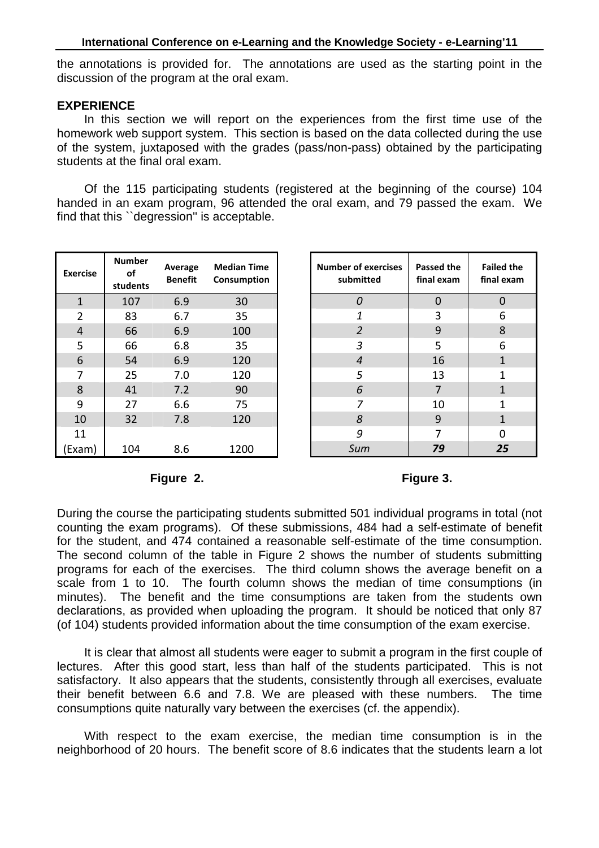the annotations is provided for. The annotations are used as the starting point in the discussion of the program at the oral exam.

### **EXPERIENCE**

In this section we will report on the experiences from the first time use of the homework web support system. This section is based on the data collected during the use of the system, juxtaposed with the grades (pass/non-pass) obtained by the participating students at the final oral exam.

Of the 115 participating students (registered at the beginning of the course) 104 handed in an exam program, 96 attended the oral exam, and 79 passed the exam. We find that this ``degression'' is acceptable.

| <b>Exercise</b> | <b>Number</b><br>of<br>students | Average<br><b>Benefit</b> | <b>Median Time</b><br>Consumption |
|-----------------|---------------------------------|---------------------------|-----------------------------------|
| $\mathbf{1}$    | 107                             | 6.9                       | 30                                |
| $\overline{2}$  | 83                              | 6.7                       | 35                                |
| 4               | 66                              | 6.9                       | 100                               |
| 5               | 66                              | 6.8                       | 35                                |
| 6               | 54                              | 6.9                       | 120                               |
| 7               | 25                              | 7.0                       | 120                               |
| 8               | 41                              | 7.2                       | 90                                |
| 9               | 27                              | 6.6                       | 75                                |
| 10              | 32                              | 7.8                       | 120                               |
| 11              |                                 |                           |                                   |
| (Exam           | 104                             | 8.6                       | 1200                              |

# **Figure 2.**

# **Figure 3.**

During the course the participating students submitted 501 individual programs in total (not counting the exam programs). Of these submissions, 484 had a self-estimate of benefit for the student, and 474 contained a reasonable self-estimate of the time consumption. The second column of the table in Figure 2 shows the number of students submitting programs for each of the exercises. The third column shows the average benefit on a scale from 1 to 10. The fourth column shows the median of time consumptions (in minutes). The benefit and the time consumptions are taken from the students own declarations, as provided when uploading the program. It should be noticed that only 87 (of 104) students provided information about the time consumption of the exam exercise.

It is clear that almost all students were eager to submit a program in the first couple of lectures. After this good start, less than half of the students participated. This is not satisfactory. It also appears that the students, consistently through all exercises, evaluate their benefit between 6.6 and 7.8. We are pleased with these numbers. The time consumptions quite naturally vary between the exercises (cf. the appendix).

With respect to the exam exercise, the median time consumption is in the neighborhood of 20 hours. The benefit score of 8.6 indicates that the students learn a lot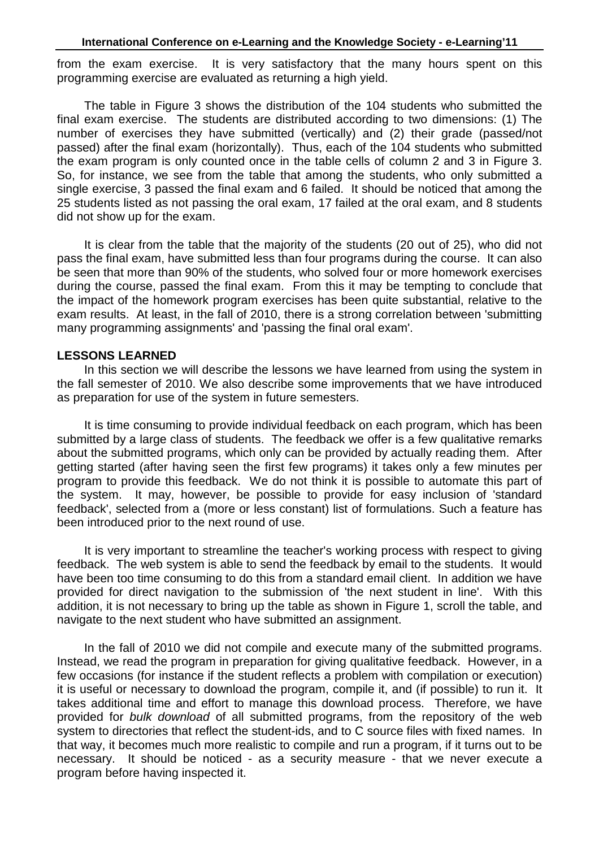from the exam exercise. It is very satisfactory that the many hours spent on this programming exercise are evaluated as returning a high yield.

The table in Figure 3 shows the distribution of the 104 students who submitted the final exam exercise. The students are distributed according to two dimensions: (1) The number of exercises they have submitted (vertically) and (2) their grade (passed/not passed) after the final exam (horizontally). Thus, each of the 104 students who submitted the exam program is only counted once in the table cells of column 2 and 3 in Figure 3. So, for instance, we see from the table that among the students, who only submitted a single exercise, 3 passed the final exam and 6 failed. It should be noticed that among the 25 students listed as not passing the oral exam, 17 failed at the oral exam, and 8 students did not show up for the exam.

It is clear from the table that the majority of the students (20 out of 25), who did not pass the final exam, have submitted less than four programs during the course. It can also be seen that more than 90% of the students, who solved four or more homework exercises during the course, passed the final exam. From this it may be tempting to conclude that the impact of the homework program exercises has been quite substantial, relative to the exam results. At least, in the fall of 2010, there is a strong correlation between 'submitting many programming assignments' and 'passing the final oral exam'.

### **LESSONS LEARNED**

In this section we will describe the lessons we have learned from using the system in the fall semester of 2010. We also describe some improvements that we have introduced as preparation for use of the system in future semesters.

It is time consuming to provide individual feedback on each program, which has been submitted by a large class of students. The feedback we offer is a few qualitative remarks about the submitted programs, which only can be provided by actually reading them. After getting started (after having seen the first few programs) it takes only a few minutes per program to provide this feedback. We do not think it is possible to automate this part of the system. It may, however, be possible to provide for easy inclusion of 'standard feedback', selected from a (more or less constant) list of formulations. Such a feature has been introduced prior to the next round of use.

It is very important to streamline the teacher's working process with respect to giving feedback. The web system is able to send the feedback by email to the students. It would have been too time consuming to do this from a standard email client. In addition we have provided for direct navigation to the submission of 'the next student in line'. With this addition, it is not necessary to bring up the table as shown in Figure 1, scroll the table, and navigate to the next student who have submitted an assignment.

In the fall of 2010 we did not compile and execute many of the submitted programs. Instead, we read the program in preparation for giving qualitative feedback. However, in a few occasions (for instance if the student reflects a problem with compilation or execution) it is useful or necessary to download the program, compile it, and (if possible) to run it. It takes additional time and effort to manage this download process. Therefore, we have provided for bulk download of all submitted programs, from the repository of the web system to directories that reflect the student-ids, and to C source files with fixed names. In that way, it becomes much more realistic to compile and run a program, if it turns out to be necessary. It should be noticed - as a security measure - that we never execute a program before having inspected it.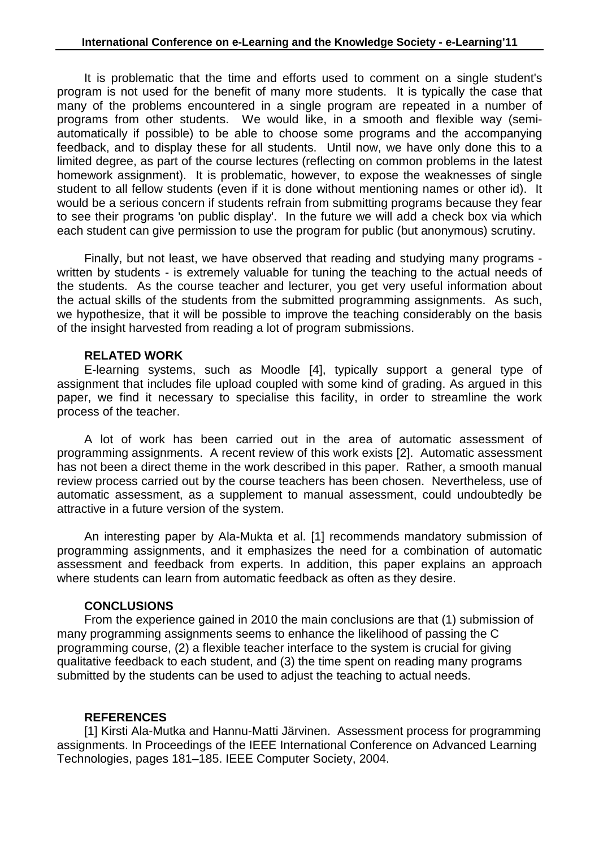It is problematic that the time and efforts used to comment on a single student's program is not used for the benefit of many more students. It is typically the case that many of the problems encountered in a single program are repeated in a number of programs from other students. We would like, in a smooth and flexible way (semiautomatically if possible) to be able to choose some programs and the accompanying feedback, and to display these for all students. Until now, we have only done this to a limited degree, as part of the course lectures (reflecting on common problems in the latest homework assignment). It is problematic, however, to expose the weaknesses of single student to all fellow students (even if it is done without mentioning names or other id). It would be a serious concern if students refrain from submitting programs because they fear to see their programs 'on public display'. In the future we will add a check box via which each student can give permission to use the program for public (but anonymous) scrutiny.

Finally, but not least, we have observed that reading and studying many programs written by students - is extremely valuable for tuning the teaching to the actual needs of the students. As the course teacher and lecturer, you get very useful information about the actual skills of the students from the submitted programming assignments. As such, we hypothesize, that it will be possible to improve the teaching considerably on the basis of the insight harvested from reading a lot of program submissions.

### **RELATED WORK**

E-learning systems, such as Moodle [4], typically support a general type of assignment that includes file upload coupled with some kind of grading. As argued in this paper, we find it necessary to specialise this facility, in order to streamline the work process of the teacher.

A lot of work has been carried out in the area of automatic assessment of programming assignments. A recent review of this work exists [2]. Automatic assessment has not been a direct theme in the work described in this paper. Rather, a smooth manual review process carried out by the course teachers has been chosen. Nevertheless, use of automatic assessment, as a supplement to manual assessment, could undoubtedly be attractive in a future version of the system.

An interesting paper by Ala-Mukta et al. [1] recommends mandatory submission of programming assignments, and it emphasizes the need for a combination of automatic assessment and feedback from experts. In addition, this paper explains an approach where students can learn from automatic feedback as often as they desire.

# **CONCLUSIONS**

From the experience gained in 2010 the main conclusions are that (1) submission of many programming assignments seems to enhance the likelihood of passing the C programming course, (2) a flexible teacher interface to the system is crucial for giving qualitative feedback to each student, and (3) the time spent on reading many programs submitted by the students can be used to adjust the teaching to actual needs.

# **REFERENCES**

[1] Kirsti Ala-Mutka and Hannu-Matti Järvinen. Assessment process for programming assignments. In Proceedings of the IEEE International Conference on Advanced Learning Technologies, pages 181–185. IEEE Computer Society, 2004.